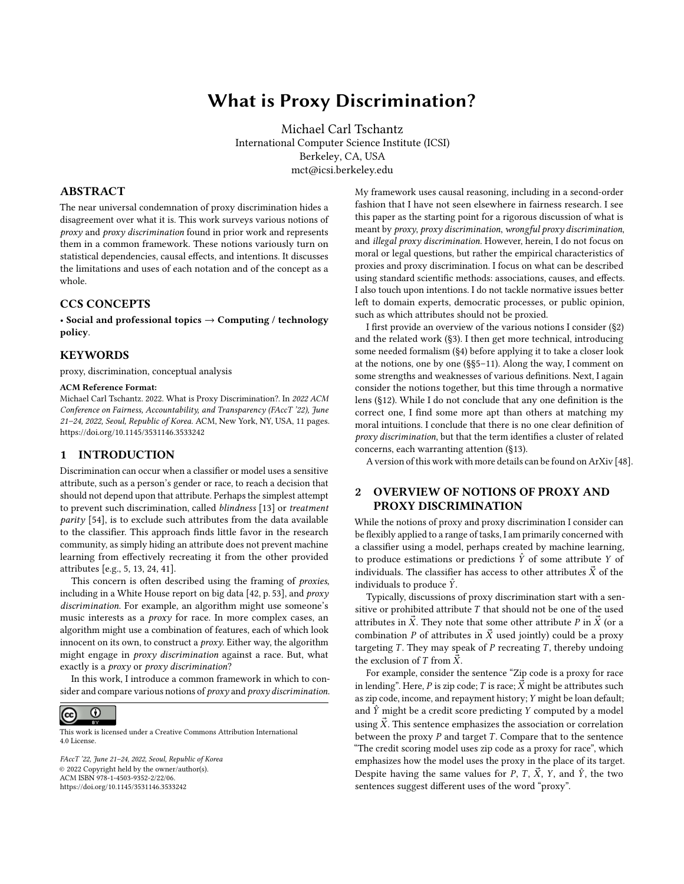# What is Proxy Discrimination?

Michael Carl Tschantz International Computer Science Institute (ICSI) Berkeley, CA, USA mct@icsi.berkeley.edu

## ABSTRACT

The near universal condemnation of proxy discrimination hides a disagreement over what it is. This work surveys various notions of proxy and proxy discrimination found in prior work and represents them in a common framework. These notions variously turn on statistical dependencies, causal effects, and intentions. It discusses the limitations and uses of each notation and of the concept as a whole.

## CCS CONCEPTS

• Social and professional topics  $\rightarrow$  Computing / technology policy.

## **KEYWORDS**

proxy, discrimination, conceptual analysis

#### ACM Reference Format:

Michael Carl Tschantz. 2022. What is Proxy Discrimination?. In 2022 ACM Conference on Fairness, Accountability, and Transparency (FAccT '22), June 21–24, 2022, Seoul, Republic of Korea. ACM, New York, NY, USA, [11](#page-10-0) pages. <https://doi.org/10.1145/3531146.3533242>

## 1 INTRODUCTION

Discrimination can occur when a classifier or model uses a sensitive attribute, such as a person's gender or race, to reach a decision that should not depend upon that attribute. Perhaps the simplest attempt to prevent such discrimination, called blindness [\[13\]](#page-9-0) or treatment parity [\[54\]](#page-10-1), is to exclude such attributes from the data available to the classifier. This approach finds little favor in the research community, as simply hiding an attribute does not prevent machine learning from effectively recreating it from the other provided attributes [e.g., [5,](#page-9-1) [13,](#page-9-0) [24,](#page-10-2) [41\]](#page-10-3).

This concern is often described using the framing of proxies, including in a White House report on big data [\[42,](#page-10-4) p. 53], and proxy discrimination. For example, an algorithm might use someone's music interests as a proxy for race. In more complex cases, an algorithm might use a combination of features, each of which look innocent on its own, to construct a proxy. Either way, the algorithm might engage in proxy discrimination against a race. But, what exactly is a proxy or proxy discrimination?

In this work, I introduce a common framework in which to consider and compare various notions of proxy and proxy discrimination.



This work is licensed under a [Creative Commons Attribution International](https://creativecommons.org/licenses/by/4.0/) [4.0 License.](https://creativecommons.org/licenses/by/4.0/)

FAccT '22, June 21–24, 2022, Seoul, Republic of Korea © 2022 Copyright held by the owner/author(s). ACM ISBN 978-1-4503-9352-2/22/06. <https://doi.org/10.1145/3531146.3533242>

My framework uses causal reasoning, including in a second-order fashion that I have not seen elsewhere in fairness research. I see this paper as the starting point for a rigorous discussion of what is meant by proxy, proxy discrimination, wrongful proxy discrimination, and illegal proxy discrimination. However, herein, I do not focus on moral or legal questions, but rather the empirical characteristics of proxies and proxy discrimination. I focus on what can be described using standard scientific methods: associations, causes, and effects. I also touch upon intentions. I do not tackle normative issues better left to domain experts, democratic processes, or public opinion, such as which attributes should not be proxied.

I first provide an overview of the various notions I consider ([§2\)](#page-0-0) and the related work ([§3\)](#page-1-0). I then get more technical, introducing some needed formalism ([§4\)](#page-2-0) before applying it to take a closer look at the notions, one by one (§[§5](#page-3-0)[–11\)](#page-8-0). Along the way, I comment on some strengths and weaknesses of various definitions. Next, I again consider the notions together, but this time through a normative lens ([§12\)](#page-8-1). While I do not conclude that any one definition is the correct one, I find some more apt than others at matching my moral intuitions. I conclude that there is no one clear definition of proxy discrimination, but that the term identifies a cluster of related concerns, each warranting attention ([§13\)](#page-9-2).

A version of this work with more details can be found on ArXiv [\[48\]](#page-10-5).

# <span id="page-0-0"></span>2 OVERVIEW OF NOTIONS OF PROXY AND PROXY DISCRIMINATION

While the notions of proxy and proxy discrimination I consider can be flexibly applied to a range of tasks, I am primarily concerned with a classifier using a model, perhaps created by machine learning, to produce estimations or predictions  $\hat{Y}$  of some attribute Y of individuals. The classifier has access to other attributes  $\vec{X}$  of the individuals to produce  $\hat{Y}$ .

Typically, discussions of proxy discrimination start with a sensitive or prohibited attribute  $T$  that should not be one of the used attributes in  $\vec{X}$ . They note that some other attribute P in  $\vec{X}$  (or a combination P of attributes in  $\vec{X}$  used jointly) could be a proxy targeting  $T$ . They may speak of  $P$  recreating  $T$ , thereby undoing the exclusion of T from  $\vec{X}$ .

For example, consider the sentence "Zip code is a proxy for race in lending". Here, P is zip code; T is race;  $\vec{X}$  might be attributes such as zip code, income, and repayment history; Y might be loan default; and  $\hat{Y}$  might be a credit score predicting Y computed by a model using  $\vec{X}$ . This sentence emphasizes the association or correlation between the proxy  $P$  and target  $T$ . Compare that to the sentence "The credit scoring model uses zip code as a proxy for race", which emphasizes how the model uses the proxy in the place of its target. Despite having the same values for P, T,  $\vec{X}$ , Y, and  $\hat{Y}$ , the two sentences suggest different uses of the word "proxy".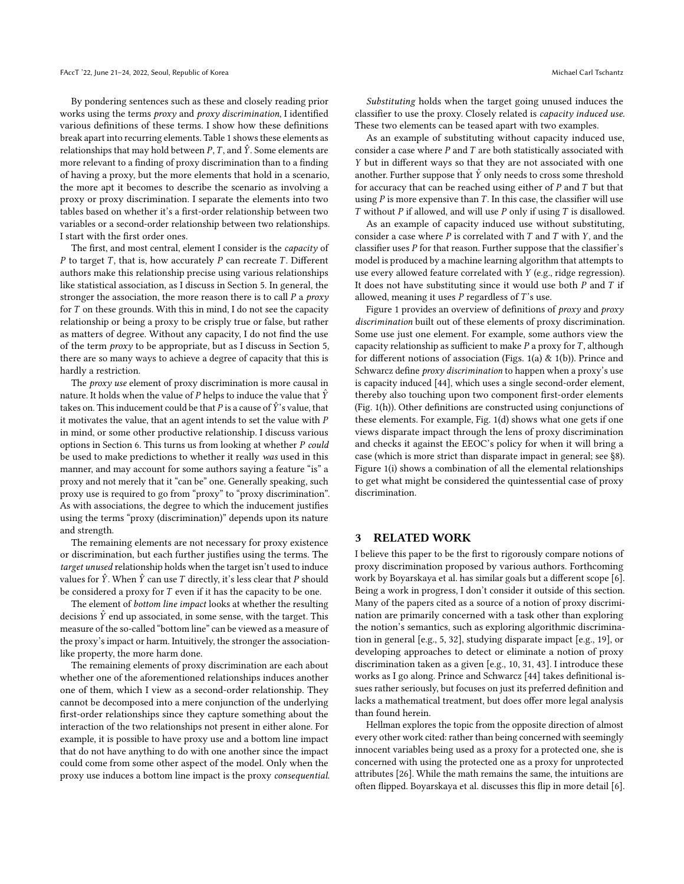By pondering sentences such as these and closely reading prior works using the terms proxy and proxy discrimination, I identified various definitions of these terms. I show how these definitions break apart into recurring elements. Table [1](#page-2-1) shows these elements as relationships that may hold between  $P, T$ , and  $\hat{Y}$ . Some elements are more relevant to a finding of proxy discrimination than to a finding of having a proxy, but the more elements that hold in a scenario, the more apt it becomes to describe the scenario as involving a proxy or proxy discrimination. I separate the elements into two tables based on whether it's a first-order relationship between two variables or a second-order relationship between two relationships. I start with the first order ones.

The first, and most central, element I consider is the capacity of  $P$  to target  $T$ , that is, how accurately  $P$  can recreate  $T$ . Different authors make this relationship precise using various relationships like statistical association, as I discuss in Section [5.](#page-3-0) In general, the stronger the association, the more reason there is to call  $P$  a proxy for  $T$  on these grounds. With this in mind, I do not see the capacity relationship or being a proxy to be crisply true or false, but rather as matters of degree. Without any capacity, I do not find the use of the term proxy to be appropriate, but as I discuss in Section [5,](#page-3-0) there are so many ways to achieve a degree of capacity that this is hardly a restriction.

The *proxy use* element of proxy discrimination is more causal in nature. It holds when the value of P helps to induce the value that  $\hat{Y}$ takes on. This inducement could be that P is a cause of  $\hat{Y}$ 's value, that it motivates the value, that an agent intends to set the value with P in mind, or some other productive relationship. I discuss various options in Section [6.](#page-5-0) This turns us from looking at whether P could be used to make predictions to whether it really was used in this manner, and may account for some authors saying a feature "is" a proxy and not merely that it "can be" one. Generally speaking, such proxy use is required to go from "proxy" to "proxy discrimination". As with associations, the degree to which the inducement justifies using the terms "proxy (discrimination)" depends upon its nature and strength.

The remaining elements are not necessary for proxy existence or discrimination, but each further justifies using the terms. The target unused relationship holds when the target isn't used to induce values for  $\hat{Y}$ . When  $\hat{Y}$  can use T directly, it's less clear that P should be considered a proxy for T even if it has the capacity to be one.

The element of bottom line impact looks at whether the resulting decisions  $\hat{Y}$  end up associated, in some sense, with the target. This measure of the so-called "bottom line" can be viewed as a measure of the proxy's impact or harm. Intuitively, the stronger the associationlike property, the more harm done.

The remaining elements of proxy discrimination are each about whether one of the aforementioned relationships induces another one of them, which I view as a second-order relationship. They cannot be decomposed into a mere conjunction of the underlying first-order relationships since they capture something about the interaction of the two relationships not present in either alone. For example, it is possible to have proxy use and a bottom line impact that do not have anything to do with one another since the impact could come from some other aspect of the model. Only when the proxy use induces a bottom line impact is the proxy consequential.

Substituting holds when the target going unused induces the classifier to use the proxy. Closely related is capacity induced use. These two elements can be teased apart with two examples.

As an example of substituting without capacity induced use, consider a case where  $P$  and  $T$  are both statistically associated with Y but in different ways so that they are not associated with one another. Further suppose that  $\hat{Y}$  only needs to cross some threshold for accuracy that can be reached using either of  $P$  and  $T$  but that using  $P$  is more expensive than  $T$ . In this case, the classifier will use  $T$  without  $P$  if allowed, and will use  $P$  only if using  $T$  is disallowed.

As an example of capacity induced use without substituting, consider a case where  $P$  is correlated with  $T$  and  $T$  with  $Y$ , and the classifier uses P for that reason. Further suppose that the classifier's model is produced by a machine learning algorithm that attempts to use every allowed feature correlated with Y (e.g., ridge regression). It does not have substituting since it would use both  $P$  and  $T$  if allowed, meaning it uses  $P$  regardless of  $T$ 's use.

Figure [1](#page-2-2) provides an overview of definitions of proxy and proxy discrimination built out of these elements of proxy discrimination. Some use just one element. For example, some authors view the capacity relationship as sufficient to make  $P$  a proxy for  $T$ , although for different notions of association (Figs. [1\(a\)](#page-2-2) & [1\(b\)\)](#page-2-2). Prince and Schwarcz define *proxy discrimination* to happen when a proxy's use is capacity induced [\[44\]](#page-10-6), which uses a single second-order element, thereby also touching upon two component first-order elements (Fig. [1\(h\)\)](#page-2-2). Other definitions are constructed using conjunctions of these elements. For example, Fig. [1\(d\)](#page-2-2) shows what one gets if one views disparate impact through the lens of proxy discrimination and checks it against the EEOC's policy for when it will bring a case (which is more strict than disparate impact in general; see [§8\)](#page-6-0). Figure [1\(i\)](#page-2-2) shows a combination of all the elemental relationships to get what might be considered the quintessential case of proxy discrimination.

## <span id="page-1-0"></span>3 RELATED WORK

I believe this paper to be the first to rigorously compare notions of proxy discrimination proposed by various authors. Forthcoming work by Boyarskaya et al. has similar goals but a different scope [\[6\]](#page-9-3). Being a work in progress, I don't consider it outside of this section. Many of the papers cited as a source of a notion of proxy discrimination are primarily concerned with a task other than exploring the notion's semantics, such as exploring algorithmic discrimination in general [e.g., [5,](#page-9-1) [32\]](#page-10-7), studying disparate impact [e.g., [19\]](#page-10-8), or developing approaches to detect or eliminate a notion of proxy discrimination taken as a given [e.g., [10,](#page-9-4) [31,](#page-10-9) [43\]](#page-10-10). I introduce these works as I go along. Prince and Schwarcz [\[44\]](#page-10-6) takes definitional issues rather seriously, but focuses on just its preferred definition and lacks a mathematical treatment, but does offer more legal analysis than found herein.

Hellman explores the topic from the opposite direction of almost every other work cited: rather than being concerned with seemingly innocent variables being used as a proxy for a protected one, she is concerned with using the protected one as a proxy for unprotected attributes [\[26\]](#page-10-11). While the math remains the same, the intuitions are often flipped. Boyarskaya et al. discusses this flip in more detail [\[6\]](#page-9-3).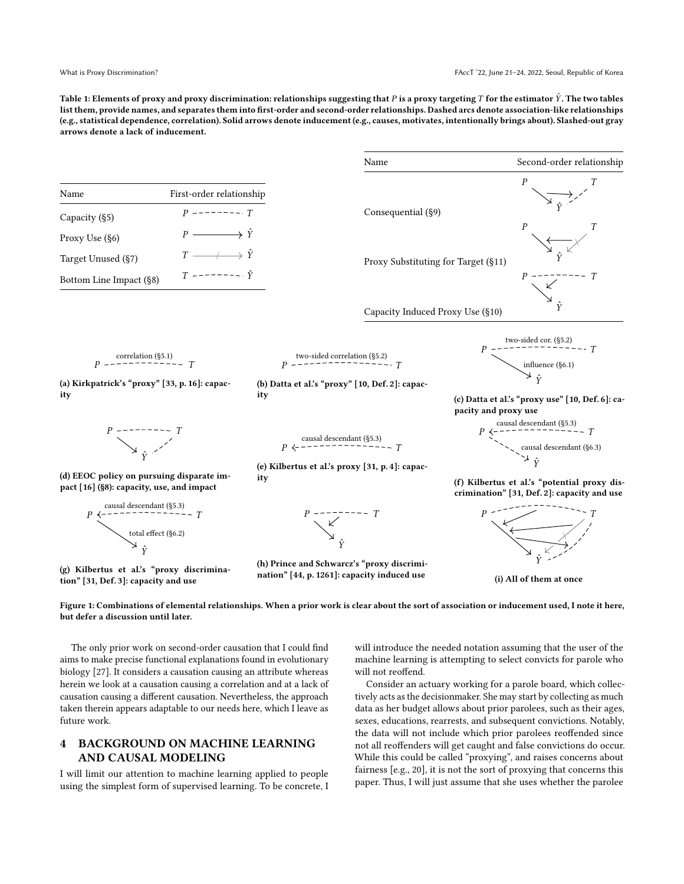<span id="page-2-1"></span>Table 1: Elements of proxy and proxy discrimination: relationships suggesting that P is a proxy targeting T for the estimator  $\hat{Y}$ . The two tables list them, provide names, and separates them into first-order and second-order relationships. Dashed arcs denote association-like relationships (e.g., statistical dependence, correlation). Solid arrows denote inducement (e.g., causes, motivates, intentionally brings about). Slashed-out gray arrows denote a lack of inducement.

<span id="page-2-2"></span>

|                                                                                                         |                             | Name                                                                                                 | Second-order relationship                                                                   |
|---------------------------------------------------------------------------------------------------------|-----------------------------|------------------------------------------------------------------------------------------------------|---------------------------------------------------------------------------------------------|
| Name                                                                                                    | First-order relationship    |                                                                                                      | $\overline{P}$                                                                              |
| Capacity (§5)                                                                                           | $P$ ------- T               | Consequential (§9)                                                                                   | $\boldsymbol{P}$<br>T                                                                       |
| Proxy Use (§6)                                                                                          | $P \longrightarrow \hat{Y}$ |                                                                                                      |                                                                                             |
| Target Unused (§7)                                                                                      | $T \longrightarrow \hat{Y}$ | Proxy Substituting for Target (§11)                                                                  |                                                                                             |
| Bottom Line Impact (§8)                                                                                 | $T$ -------- $\hat{Y}$      |                                                                                                      |                                                                                             |
|                                                                                                         |                             | Capacity Induced Proxy Use (§10)                                                                     |                                                                                             |
| (a) Kirkpatrick's "proxy" [33, p. 16]: capac-<br>ity                                                    |                             | (b) Datta et al.'s "proxy" [10, Def. 2]: capac-                                                      | two-sided cor. $(\S5.2)$<br>influence $(\S6.1)$<br>$\hat{Y}$                                |
|                                                                                                         |                             | ity                                                                                                  | (c) Datta et al.'s "proxy use" [10, Def. 6]: ca-<br>pacity and proxy use                    |
|                                                                                                         |                             | (e) Kilbertus et al.'s proxy [31, p. 4]: capac-                                                      | causal descendant (§6.3)                                                                    |
| (d) EEOC policy on pursuing disparate im-<br>pact [16] (§8): capacity, use, and impact                  |                             | ity                                                                                                  | (f) Kilbertus et al.'s "potential proxy dis-<br>crimination" [31, Def. 2]: capacity and use |
| causal descendant (§5.3)<br>$\frac{1}{1}$ - - - - - - - - - - - - T<br>total effect (§6.2)<br>$\hat{Y}$ |                             | $P$ ---------<br>$\swarrow$                                                                          |                                                                                             |
| (g) Kilbertus et al.'s "proxy discrimina-                                                               |                             | (h) Prince and Schwarcz's "proxy discrimi-<br>nation <sup>"</sup> [44 n. 1961], consoity induced use |                                                                                             |

(i) All of them at once

Figure 1: Combinations of elemental relationships. When a prior work is clear about the sort of association or inducement used, I note it here, but defer a discussion until later.

nation" [\[44,](#page-10-6) p. 1261]: capacity induced use

The only prior work on second-order causation that I could find aims to make precise functional explanations found in evolutionary biology [\[27\]](#page-10-14). It considers a causation causing an attribute whereas herein we look at a causation causing a correlation and at a lack of causation causing a different causation. Nevertheless, the approach taken therein appears adaptable to our needs here, which I leave as future work.

tion" [\[31,](#page-10-9) Def. 3]: capacity and use

## <span id="page-2-0"></span>4 BACKGROUND ON MACHINE LEARNING AND CAUSAL MODELING

I will limit our attention to machine learning applied to people using the simplest form of supervised learning. To be concrete, I will introduce the needed notation assuming that the user of the machine learning is attempting to select convicts for parole who will not reoffend.

Consider an actuary working for a parole board, which collectively acts as the decisionmaker. She may start by collecting as much data as her budget allows about prior parolees, such as their ages, sexes, educations, rearrests, and subsequent convictions. Notably, the data will not include which prior parolees reoffended since not all reoffenders will get caught and false convictions do occur. While this could be called "proxying", and raises concerns about fairness [e.g., [20\]](#page-10-15), it is not the sort of proxying that concerns this paper. Thus, I will just assume that she uses whether the parolee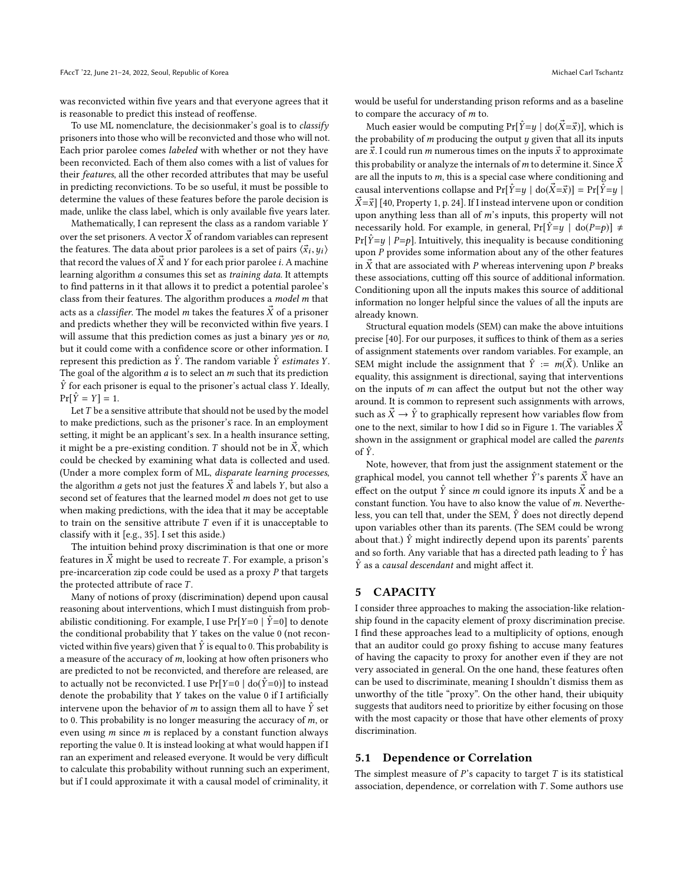was reconvicted within five years and that everyone agrees that it is reasonable to predict this instead of reoffense.

To use ML nomenclature, the decisionmaker's goal is to classify prisoners into those who will be reconvicted and those who will not. Each prior parolee comes labeled with whether or not they have been reconvicted. Each of them also comes with a list of values for their features, all the other recorded attributes that may be useful in predicting reconvictions. To be so useful, it must be possible to determine the values of these features before the parole decision is made, unlike the class label, which is only available five years later.

Mathematically, I can represent the class as a random variable Y over the set prisoners. A vector  $\vec{X}$  of random variables can represent the features. The data about prior parolees is a set of pairs  $\langle \vec{x}_i, y_i \rangle$ <br>that record the values of  $\vec{y}$  and *Y* for each prior paroles i. A mashing that record the values of  $\vec{X}$  and Y for each prior parolee *i*. A machine learning algorithm a consumes this set as training data. It attempts to find patterns in it that allows it to predict a potential parolee's class from their features. The algorithm produces a model m that acts as a *classifier*. The model *m* takes the features  $\vec{X}$  of a prisoner and predicts whether they will be reconvicted within five years. I will assume that this prediction comes as just a binary yes or no, but it could come with a confidence score or other information. I represent this prediction as  $\hat{Y}$ . The random variable  $\hat{Y}$  estimates  $Y$ . The goal of the algorithm  $a$  is to select an  $m$  such that its prediction  $\hat{Y}$  for each prisoner is equal to the prisoner's actual class Y. Ideally,  $Pr[\hat{Y} = Y] = 1.$ 

Let  $T$  be a sensitive attribute that should not be used by the model to make predictions, such as the prisoner's race. In an employment setting, it might be an applicant's sex. In a health insurance setting, it might be a pre-existing condition. T should not be in  $\vec{X}$ , which could be checked by examining what data is collected and used. (Under a more complex form of ML, disparate learning processes, the algorithm *a* gets not just the features  $\vec{X}$  and labels *Y*, but also a second set of features that the learned model m does not get to use when making predictions, with the idea that it may be acceptable to train on the sensitive attribute  $T$  even if it is unacceptable to classify with it [e.g., [35\]](#page-10-16). I set this aside.)

The intuition behind proxy discrimination is that one or more features in  $\vec{X}$  might be used to recreate T. For example, a prison's pre-incarceration zip code could be used as a proxy  $P$  that targets the protected attribute of race  $T$ .

Many of notions of proxy (discrimination) depend upon causal reasoning about interventions, which I must distinguish from probabilistic conditioning. For example, I use  $Pr[Y=0 | \hat{Y}=0]$  to denote the conditional probability that Y takes on the value <sup>0</sup> (not reconvicted within five years) given that  $\hat{Y}$  is equal to 0. This probability is a measure of the accuracy of  $m$ , looking at how often prisoners who are predicted to not be reconvicted, and therefore are released, are to actually not be reconvicted. I use  $Pr[Y=0 | do(Y=0)]$  to instead denote the probability that Y takes on the value <sup>0</sup> if I artificially intervene upon the behavior of m to assign them all to have  $\hat{Y}$  set to 0. This probability is no longer measuring the accuracy of m, or even using  $m$  since  $m$  is replaced by a constant function always reporting the value 0. It is instead looking at what would happen if I ran an experiment and released everyone. It would be very difficult to calculate this probability without running such an experiment, but if I could approximate it with a causal model of criminality, it

would be useful for understanding prison reforms and as a baseline to compare the accuracy of m to.

Much easier would be computing  $Pr[\hat{Y}=y | \text{do}(\hat{X}=\vec{x})]$ , which is the probability of  $m$  producing the output  $y$  given that all its inputs are  $\vec{x}$ . I could run *m* numerous times on the inputs  $\vec{x}$  to approximate this probability or analyze the internals of m to determine it. Since  $\vec{X}$ are all the inputs to  $m$ , this is a special case where conditioning and causal interventions collapse and  $Pr[\hat{Y}=y | \text{do}(\vec{X}=\vec{x})] = Pr[\hat{Y}=y |$  $\vec{X} = \vec{x}$  [\[40,](#page-10-17) Property 1, p. 24]. If I instead intervene upon or condition upon anything less than all of m's inputs, this property will not necessarily hold. For example, in general,  $Pr[\hat{Y}=y \mid \text{do}(P=p)] \neq$  $Pr[\hat{Y}=y | P=p]$ . Intuitively, this inequality is because conditioning upon  $P$  provides some information about any of the other features in  $\vec{X}$  that are associated with P whereas intervening upon P breaks these associations, cutting off this source of additional information. Conditioning upon all the inputs makes this source of additional information no longer helpful since the values of all the inputs are already known.

Structural equation models (SEM) can make the above intuitions precise [\[40\]](#page-10-17). For our purposes, it suffices to think of them as a series of assignment statements over random variables. For example, an SEM might include the assignment that  $\hat{Y} := m(\vec{X})$ . Unlike an equality, this assignment is directional, saying that interventions on the inputs of  $m$  can affect the output but not the other way around. It is common to represent such assignments with arrows, such as  $\vec{X} \rightarrow \hat{Y}$  to graphically represent how variables flow from one to the next, similar to how I did so in Figure [1.](#page-2-2) The variables  $\vec{X}$ shown in the assignment or graphical model are called the parents of  $\hat{Y}$ .

Note, however, that from just the assignment statement or the graphical model, you cannot tell whether  $\hat{Y}$ 's parents  $\vec{X}$  have an effect on the output  $\hat{Y}$  since m could ignore its inputs  $\vec{X}$  and be a constant function. You have to also know the value of m. Nevertheless, you can tell that, under the SEM,  $\hat{Y}$  does not directly depend upon variables other than its parents. (The SEM could be wrong about that.)  $\hat{Y}$  might indirectly depend upon its parents' parents and so forth. Any variable that has a directed path leading to  $\hat{Y}$  has  $\hat{Y}$  as a causal descendant and might affect it.

#### <span id="page-3-0"></span>5 CAPACITY

I consider three approaches to making the association-like relationship found in the capacity element of proxy discrimination precise. I find these approaches lead to a multiplicity of options, enough that an auditor could go proxy fishing to accuse many features of having the capacity to proxy for another even if they are not very associated in general. On the one hand, these features often can be used to discriminate, meaning I shouldn't dismiss them as unworthy of the title "proxy". On the other hand, their ubiquity suggests that auditors need to prioritize by either focusing on those with the most capacity or those that have other elements of proxy discrimination.

#### <span id="page-3-1"></span>5.1 Dependence or Correlation

The simplest measure of  $P$ 's capacity to target  $T$  is its statistical association, dependence, or correlation with  $T$ . Some authors use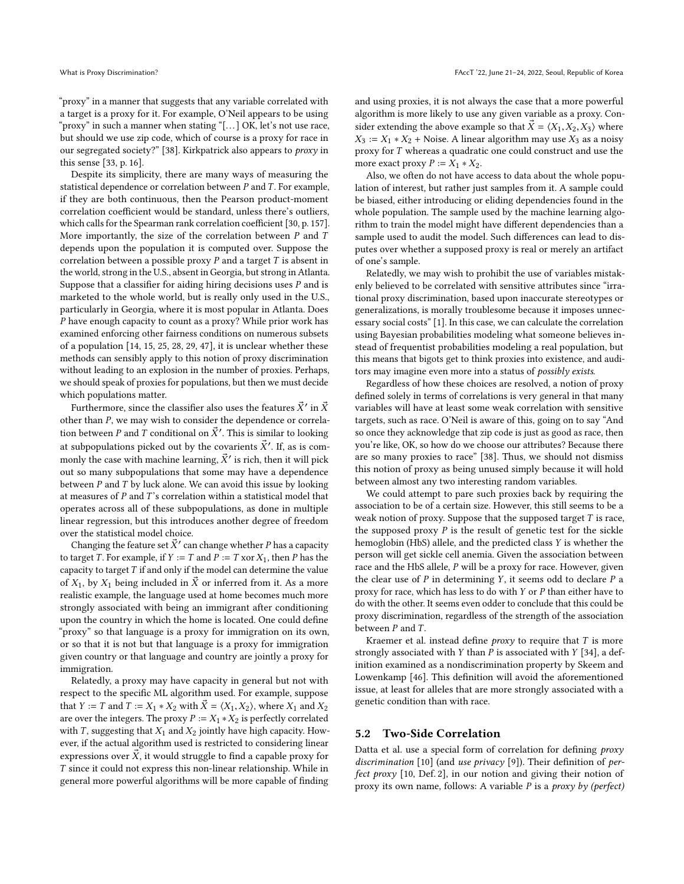"proxy" in a manner that suggests that any variable correlated with a target is a proxy for it. For example, O'Neil appears to be using "proxy" in such a manner when stating "[. . . ] OK, let's not use race, but should we use zip code, which of course is a proxy for race in our segregated society?" [\[38\]](#page-10-18). Kirkpatrick also appears to proxy in this sense [\[33,](#page-10-12) p. 16].

Despite its simplicity, there are many ways of measuring the statistical dependence or correlation between  $P$  and  $T$ . For example, if they are both continuous, then the Pearson product-moment correlation coefficient would be standard, unless there's outliers, which calls for the Spearman rank correlation coefficient [\[30,](#page-10-19) p. 157]. More importantly, the size of the correlation between  $P$  and  $T$ depends upon the population it is computed over. Suppose the correlation between a possible proxy  $P$  and a target  $T$  is absent in the world, strong in the U.S., absent in Georgia, but strong in Atlanta. Suppose that a classifier for aiding hiring decisions uses  $P$  and is marketed to the whole world, but is really only used in the U.S., particularly in Georgia, where it is most popular in Atlanta. Does  $P$  have enough capacity to count as a proxy? While prior work has examined enforcing other fairness conditions on numerous subsets of a population [\[14,](#page-9-5) [15,](#page-9-6) [25,](#page-10-20) [28,](#page-10-21) [29,](#page-10-22) [47\]](#page-10-23), it is unclear whether these methods can sensibly apply to this notion of proxy discrimination without leading to an explosion in the number of proxies. Perhaps, we should speak of proxies for populations, but then we must decide which populations matter.

Furthermore, since the classifier also uses the features  $\dot{X}'$  in  $\dot{X}$ <br>per than  $P$ , we may wish to consider the dependence or correlation other than P, we may wish to consider the dependence or correlation between P and T conditional on  $\dot{X}'$ . This is similar to looking<br>of subpossibilities picked out by the covariants  $\vec{Y}'$ . If so is some at subpopulations picked out by the covarients  $\vec{X}'$ . If, as is com-<br>monly the case with mashing learning  $\vec{Y}'$  is rish, then it will night monly the case with machine learning,  $\dot{X}'$  is rich, then it will pick<br>out so many subpopulations that some may have a dependence out so many subpopulations that some may have a dependence between  $P$  and  $T$  by luck alone. We can avoid this issue by looking at measures of  $P$  and  $T$ 's correlation within a statistical model that operates across all of these subpopulations, as done in multiple linear regression, but this introduces another degree of freedom over the statistical model choice.

Changing the feature set X' can change whether P has a capacity<br>target T. For example, if  $V = T$  and  $P = T$  vor  $Y$ , then P has the to target T. For example, if  $Y := T$  and  $P := T$  xor  $X_1$ , then P has the capacity to target  $T$  if and only if the model can determine the value of  $X_1$ , by  $X_1$  being included in  $\vec{X}$  or inferred from it. As a more realistic example, the language used at home becomes much more strongly associated with being an immigrant after conditioning upon the country in which the home is located. One could define "proxy" so that language is a proxy for immigration on its own, or so that it is not but that language is a proxy for immigration given country or that language and country are jointly a proxy for immigration.

Relatedly, a proxy may have capacity in general but not with respect to the specific ML algorithm used. For example, suppose that *Y* := *T* and *T* :=  $X_1 * X_2$  with  $\vec{X} = \langle X_1, X_2 \rangle$ , where  $X_1$  and  $X_2$ are over the integers. The proxy  $P := X_1 * X_2$  is perfectly correlated with T, suggesting that  $X_1$  and  $X_2$  jointly have high capacity. However, if the actual algorithm used is restricted to considering linear expressions over  $\vec{X}$ , it would struggle to find a capable proxy for T since it could not express this non-linear relationship. While in general more powerful algorithms will be more capable of finding and using proxies, it is not always the case that a more powerful algorithm is more likely to use any given variable as a proxy. Consider extending the above example so that  $\vec{X} = \langle X_1, X_2, X_3 \rangle$  where  $X_3 := X_1 * X_2 + \text{Noise. A linear algorithm may use } X_3$  as a noisy proxy for T whereas a quadratic one could construct and use the more exact proxy  $P := X_1 * X_2$ .

Also, we often do not have access to data about the whole population of interest, but rather just samples from it. A sample could be biased, either introducing or eliding dependencies found in the whole population. The sample used by the machine learning algorithm to train the model might have different dependencies than a sample used to audit the model. Such differences can lead to disputes over whether a supposed proxy is real or merely an artifact of one's sample.

Relatedly, we may wish to prohibit the use of variables mistakenly believed to be correlated with sensitive attributes since "irrational proxy discrimination, based upon inaccurate stereotypes or generalizations, is morally troublesome because it imposes unnecessary social costs" [\[1\]](#page-9-7). In this case, we can calculate the correlation using Bayesian probabilities modeling what someone believes instead of frequentist probabilities modeling a real population, but this means that bigots get to think proxies into existence, and auditors may imagine even more into a status of possibly exists.

Regardless of how these choices are resolved, a notion of proxy defined solely in terms of correlations is very general in that many variables will have at least some weak correlation with sensitive targets, such as race. O'Neil is aware of this, going on to say "And so once they acknowledge that zip code is just as good as race, then you're like, OK, so how do we choose our attributes? Because there are so many proxies to race" [\[38\]](#page-10-18). Thus, we should not dismiss this notion of proxy as being unused simply because it will hold between almost any two interesting random variables.

We could attempt to pare such proxies back by requiring the association to be of a certain size. However, this still seems to be a weak notion of proxy. Suppose that the supposed target  $T$  is race, the supposed proxy  $P$  is the result of genetic test for the sickle hemoglobin (HbS) allele, and the predicted class Y is whether the person will get sickle cell anemia. Given the association between race and the HbS allele, P will be a proxy for race. However, given the clear use of  $P$  in determining  $Y$ , it seems odd to declare  $P$  a proxy for race, which has less to do with Y or P than either have to do with the other. It seems even odder to conclude that this could be proxy discrimination, regardless of the strength of the association between  $P$  and  $T$ .

Kraemer et al. instead define  $proxy$  to require that  $T$  is more strongly associated with Y than P is associated with Y [\[34\]](#page-10-24), a definition examined as a nondiscrimination property by Skeem and Lowenkamp [\[46\]](#page-10-25). This definition will avoid the aforementioned issue, at least for alleles that are more strongly associated with a genetic condition than with race.

#### 5.2 Two-Side Correlation

Datta et al. use a special form of correlation for defining proxy discrimination [\[10\]](#page-9-4) (and use privacy [\[9\]](#page-9-8)). Their definition of perfect proxy [\[10,](#page-9-4) Def. 2], in our notion and giving their notion of proxy its own name, follows: A variable P is a proxy by (perfect)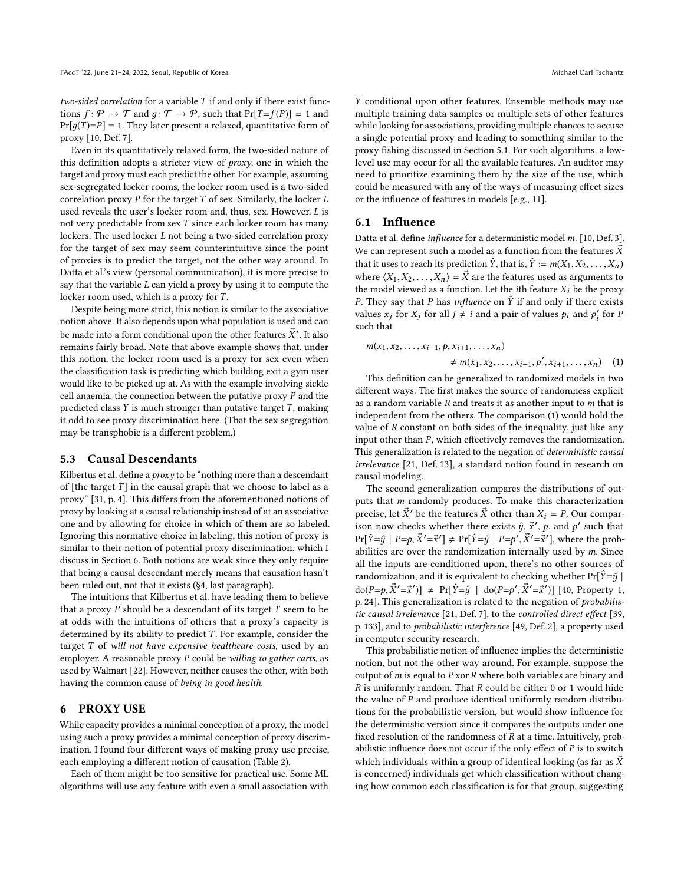two-sided correlation for a variable  $T$  if and only if there exist functions  $f: \mathcal{P} \to \mathcal{T}$  and  $q: \mathcal{T} \to \mathcal{P}$ , such that  $Pr[T=f(P)] = 1$  and  $Pr[g(T)=P] = 1$ . They later present a relaxed, quantitative form of proxy [\[10,](#page-9-4) Def. 7].

Even in its quantitatively relaxed form, the two-sided nature of this definition adopts a stricter view of proxy, one in which the target and proxy must each predict the other. For example, assuming sex-segregated locker rooms, the locker room used is a two-sided correlation proxy  $P$  for the target  $T$  of sex. Similarly, the locker  $L$ used reveals the user's locker room and, thus, sex. However, L is not very predictable from sex T since each locker room has many lockers. The used locker L not being a two-sided correlation proxy for the target of sex may seem counterintuitive since the point of proxies is to predict the target, not the other way around. In Datta et al.'s view (personal communication), it is more precise to say that the variable  $L$  can yield a proxy by using it to compute the locker room used, which is a proxy for T.

Despite being more strict, this notion is similar to the associative notion above. It also depends upon what population is used and can be made into a form conditional upon the other features  $\dot{X}^{\prime}$ . It also remains fairly broad. Note that above example shows that under remains fairly broad. Note that above example shows that, under this notion, the locker room used is a proxy for sex even when the classification task is predicting which building exit a gym user would like to be picked up at. As with the example involving sickle cell anaemia, the connection between the putative proxy  $P$  and the predicted class  $Y$  is much stronger than putative target  $T$ , making it odd to see proxy discrimination here. (That the sex segregation may be transphobic is a different problem.)

## 5.3 Causal Descendants

Kilbertus et al. define a *proxy* to be "nothing more than a descendant" of [the target  $T$ ] in the causal graph that we choose to label as a proxy" [\[31,](#page-10-9) p. 4]. This differs from the aforementioned notions of proxy by looking at a causal relationship instead of at an associative one and by allowing for choice in which of them are so labeled. Ignoring this normative choice in labeling, this notion of proxy is similar to their notion of potential proxy discrimination, which I discuss in Section [6.](#page-5-0) Both notions are weak since they only require that being a causal descendant merely means that causation hasn't been ruled out, not that it exists ([§4,](#page-2-0) last paragraph).

The intuitions that Kilbertus et al. have leading them to believe that a proxy  $P$  should be a descendant of its target  $T$  seem to be at odds with the intuitions of others that a proxy's capacity is determined by its ability to predict  $T$ . For example, consider the target T of will not have expensive healthcare costs, used by an employer. A reasonable proxy  $P$  could be willing to gather carts, as used by Walmart [\[22\]](#page-10-26). However, neither causes the other, with both having the common cause of being in good health.

## <span id="page-5-0"></span>6 PROXY USE

While capacity provides a minimal conception of a proxy, the model using such a proxy provides a minimal conception of proxy discrimination. I found four different ways of making proxy use precise, each employing a different notion of causation (Table [2\)](#page-6-2).

Each of them might be too sensitive for practical use. Some ML algorithms will use any feature with even a small association with

Y conditional upon other features. Ensemble methods may use multiple training data samples or multiple sets of other features while looking for associations, providing multiple chances to accuse a single potential proxy and leading to something similar to the proxy fishing discussed in Section [5.1.](#page-3-1) For such algorithms, a lowlevel use may occur for all the available features. An auditor may need to prioritize examining them by the size of the use, which could be measured with any of the ways of measuring effect sizes or the influence of features in models [e.g., [11\]](#page-9-9).

## 6.1 Influence

Datta et al. define influence for a deterministic model m. [\[10,](#page-9-4) Def. 3]. We can represent such a model as a function from the features  $\vec{X}$ that it uses to reach its prediction  $\hat{Y}$ , that is,  $\hat{Y} := m(X_1, X_2, \ldots, X_n)$ where  $\langle X_1, X_2, \ldots, X_n \rangle = \vec{X}$  are the features used as arguments to the model viewed as a function. Let the *i*th feature  $X_i$  be the proxy P. They say that P has *influence* on  $\hat{Y}$  if and only if there exists values  $x_j$  for  $X_j$  for all  $j \neq i$  and a pair of values  $p_i$  and  $p'_i$  for  $P$ such that

<span id="page-5-1"></span>
$$
m(x_1, x_2, \dots, x_{i-1}, p, x_{i+1}, \dots, x_n)
$$
  
\n
$$
\neq m(x_1, x_2, \dots, x_{i-1}, p', x_{i+1}, \dots, x_n)
$$
 (1)  
\nThis definition can be generalized to randomized models in two

different ways. The first makes the source of randomness explicit as a random variable  $R$  and treats it as another input to  $m$  that is independent from the others. The comparison [\(1\)](#page-5-1) would hold the value of R constant on both sides of the inequality, just like any input other than P, which effectively removes the randomization. This generalization is related to the negation of deterministic causal irrelevance [\[21,](#page-10-27) Def. 13], a standard notion found in research on causal modeling.

The second generalization compares the distributions of outputs that m randomly produces. To make this characterization precise, let  $\vec{X}'$  be the features  $\vec{X}$  other than  $X_i = P$ . Our comparison now checks whether there exists  $\hat{y}$ ,  $\vec{x}'$ ,  $p$ , and  $p'$  such that  $D_{\text{eff}}\hat{y} = \hat{y} + D_{\text{eff}}\hat{y}' = \hat{y}' + D_{\text{eff}}\hat{y}' = \hat{y}' + D_{\text{eff}}\hat{y}' = \hat{y}' + D_{\text{eff}}\hat{y}' = \hat{y}' + D_{\text{eff}}\hat{y}' = \hat{y}' + D_{\text{eff}}\hat{y}' = \hat{y}' + D_{\text{eff}}\hat$  $\Pr[\hat{Y} = \hat{y} \mid P = p, \vec{X}' = \vec{x}'] \neq \Pr[\hat{Y} = \hat{y} \mid P = p', \vec{X}' = \vec{x}']$ , where the probabilities are over the randomization internally used by  $m$ . Since all the inputs are conditioned upon, there's no other sources of randomization, and it is equivalent to checking whether  $Pr[\hat{Y}=\hat{y} |$  $d\sigma(P=p, \vec{X}'=\vec{x}') \neq Pr[\hat{Y}=\hat{y} \mid d\sigma(P=p', \vec{X}'=\vec{x}')]$  [\[40,](#page-10-17) Property 1, p. 24] This generalization is related to the negation of probabilisp. 24]. This generalization is related to the negation of probabilistic causal irrelevance [\[21,](#page-10-27) Def. 7], to the controlled direct effect [\[39,](#page-10-28) p. 133], and to probabilistic interference [\[49,](#page-10-29) Def. 2], a property used in computer security research.

This probabilistic notion of influence implies the deterministic notion, but not the other way around. For example, suppose the output of  $m$  is equal to  $P$  xor  $R$  where both variables are binary and  $R$  is uniformly random. That  $R$  could be either 0 or 1 would hide the value of  $P$  and produce identical uniformly random distributions for the probabilistic version, but would show influence for the deterministic version since it compares the outputs under one fixed resolution of the randomness of  $R$  at a time. Intuitively, probabilistic influence does not occur if the only effect of  $P$  is to switch which individuals within a group of identical looking (as far as  $\vec{X}$ is concerned) individuals get which classification without changing how common each classification is for that group, suggesting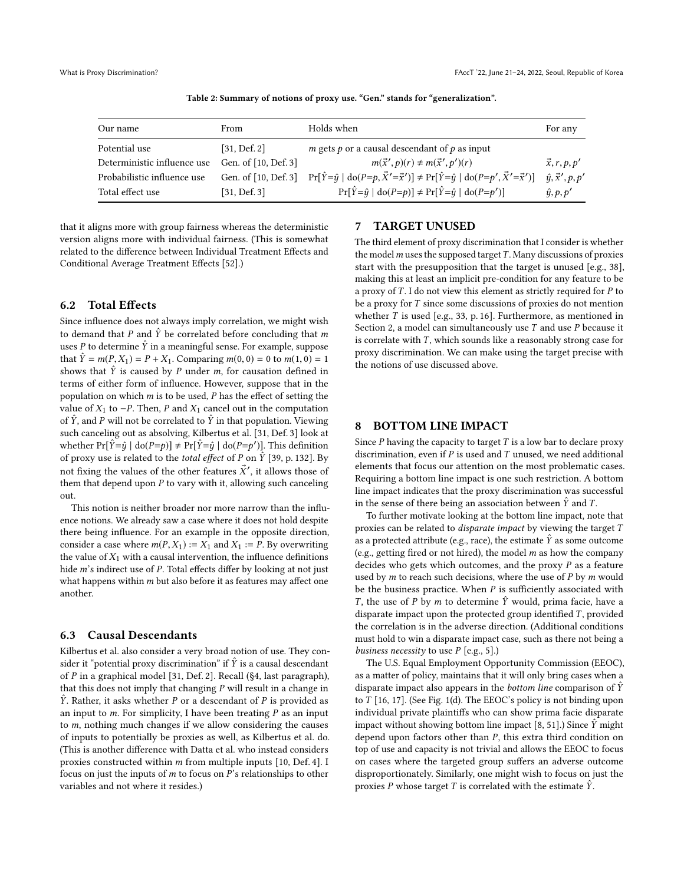<span id="page-6-2"></span>

| Our name                    | From                 | Holds when                                                                                                                                                 | For any                    |
|-----------------------------|----------------------|------------------------------------------------------------------------------------------------------------------------------------------------------------|----------------------------|
| Potential use               | [31, Def.2]          | $m$ gets $p$ or a causal descendant of $p$ as input                                                                                                        |                            |
| Deterministic influence use | Gen. of [10, Def. 3] | $m(\vec{x}', p)(r) \neq m(\vec{x}', p')(r)$                                                                                                                | $\vec{x}, r, p, p'$        |
| Probabilistic influence use |                      | Gen. of [10, Def. 3] $\Pr[\hat{Y} = \hat{y}   \text{do}(P = p, \vec{X}' = \vec{x}')] \neq \Pr[\hat{Y} = \hat{y}   \text{do}(P = p', \vec{X}' = \vec{x}')]$ | $\hat{y}, \vec{x}', p, p'$ |
| Total effect use            | [31, Def.3]          | $\Pr[\hat{Y} = \hat{y}   \text{do}(P = p)] \neq \Pr[\hat{Y} = \hat{y}   \text{do}(P = p')]$                                                                | $\hat{y}, p, p'$           |

Table 2: Summary of notions of proxy use. "Gen." stands for "generalization".

that it aligns more with group fairness whereas the deterministic version aligns more with individual fairness. (This is somewhat related to the difference between Individual Treatment Effects and Conditional Average Treatment Effects [\[52\]](#page-10-30).)

## <span id="page-6-3"></span>6.2 Total Effects

Since influence does not always imply correlation, we might wish to demand that P and  $\hat{Y}$  be correlated before concluding that m uses P to determine  $\hat{Y}$  in a meaningful sense. For example, suppose that  $\hat{Y} = m(P, X_1) = P + X_1$ . Comparing  $m(0, 0) = 0$  to  $m(1, 0) = 1$ shows that  $\hat{Y}$  is caused by P under m, for causation defined in terms of either form of influence. However, suppose that in the population on which  $m$  is to be used,  $P$  has the effect of setting the value of  $X_1$  to −P. Then, P and  $X_1$  cancel out in the computation of  $\hat{Y}$ , and P will not be correlated to  $\hat{Y}$  in that population. Viewing such canceling out as absolving, Kilbertus et al. [\[31,](#page-10-9) Def. 3] look at whether  $Pr[\hat{Y} = \hat{y} | \text{do}(P=p)] \neq Pr[\hat{Y} = \hat{y} | \text{do}(P=p')]$ . This definition of proxy use is related to the *total effect* of P on  $\hat{Y}$  [\[39,](#page-10-28) p. 132]. By not fixing the values of the other features  $\dot{X}'$ , it allows those of them that depend upon  $P$  to vary with it allowing such canceling them that depend upon  $P$  to vary with it, allowing such canceling out.

This notion is neither broader nor more narrow than the influence notions. We already saw a case where it does not hold despite there being influence. For an example in the opposite direction, consider a case where  $m(P, X_1) := X_1$  and  $X_1 := P$ . By overwriting the value of  $X_1$  with a causal intervention, the influence definitions hide m's indirect use of P. Total effects differ by looking at not just what happens within  $m$  but also before it as features may affect one another.

#### 6.3 Causal Descendants

Kilbertus et al. also consider a very broad notion of use. They consider it "potential proxy discrimination" if  $\hat{Y}$  is a causal descendant of P in a graphical model [\[31,](#page-10-9) Def. 2]. Recall ([§4,](#page-2-0) last paragraph), that this does not imply that changing  $P$  will result in a change in  $\hat{Y}$ . Rather, it asks whether P or a descendant of P is provided as an input to  $m$ . For simplicity, I have been treating  $P$  as an input to m, nothing much changes if we allow considering the causes of inputs to potentially be proxies as well, as Kilbertus et al. do. (This is another difference with Datta et al. who instead considers proxies constructed within m from multiple inputs [\[10,](#page-9-4) Def. 4]. I focus on just the inputs of  $m$  to focus on  $P$ 's relationships to other variables and not where it resides.)

## <span id="page-6-1"></span>7 TARGET UNUSED

The third element of proxy discrimination that I consider is whether the model  $m$  uses the supposed target  $T$ . Many discussions of proxies start with the presupposition that the target is unused [e.g., [38\]](#page-10-18), making this at least an implicit pre-condition for any feature to be a proxy of  $T$ . I do not view this element as strictly required for  $P$  to be a proxy for T since some discussions of proxies do not mention whether T is used [e.g., [33,](#page-10-12) p. 16]. Furthermore, as mentioned in Section [2,](#page-0-0) a model can simultaneously use  $T$  and use  $P$  because it is correlate with  $T$ , which sounds like a reasonably strong case for proxy discrimination. We can make using the target precise with the notions of use discussed above.

#### <span id="page-6-0"></span>8 BOTTOM LINE IMPACT

Since  $P$  having the capacity to target  $T$  is a low bar to declare proxy discrimination, even if  $P$  is used and  $T$  unused, we need additional elements that focus our attention on the most problematic cases. Requiring a bottom line impact is one such restriction. A bottom line impact indicates that the proxy discrimination was successful in the sense of there being an association between  $\hat{Y}$  and  $T$ .

To further motivate looking at the bottom line impact, note that proxies can be related to disparate impact by viewing the target T as a protected attribute (e.g., race), the estimate  $\hat{Y}$  as some outcome (e.g., getting fired or not hired), the model  $m$  as how the company decides who gets which outcomes, and the proxy  $P$  as a feature used by  $m$  to reach such decisions, where the use of  $P$  by  $m$  would be the business practice. When  $P$  is sufficiently associated with T, the use of P by m to determine  $\hat{Y}$  would, prima facie, have a disparate impact upon the protected group identified  $T$ , provided the correlation is in the adverse direction. (Additional conditions must hold to win a disparate impact case, such as there not being a business necessity to use  $P$  [e.g., [5\]](#page-9-1).)

The U.S. Equal Employment Opportunity Commission (EEOC), as a matter of policy, maintains that it will only bring cases when a disparate impact also appears in the *bottom line* comparison of  $\hat{Y}$ to T [\[16,](#page-10-13) [17\]](#page-10-31). (See Fig. [1\(d\).](#page-2-2) The EEOC's policy is not binding upon individual private plaintiffs who can show prima facie disparate impact without showing bottom line impact [\[8,](#page-9-10) [51\]](#page-10-32).) Since  $\hat{Y}$  might depend upon factors other than P, this extra third condition on top of use and capacity is not trivial and allows the EEOC to focus on cases where the targeted group suffers an adverse outcome disproportionately. Similarly, one might wish to focus on just the proxies P whose target T is correlated with the estimate  $\hat{Y}$ .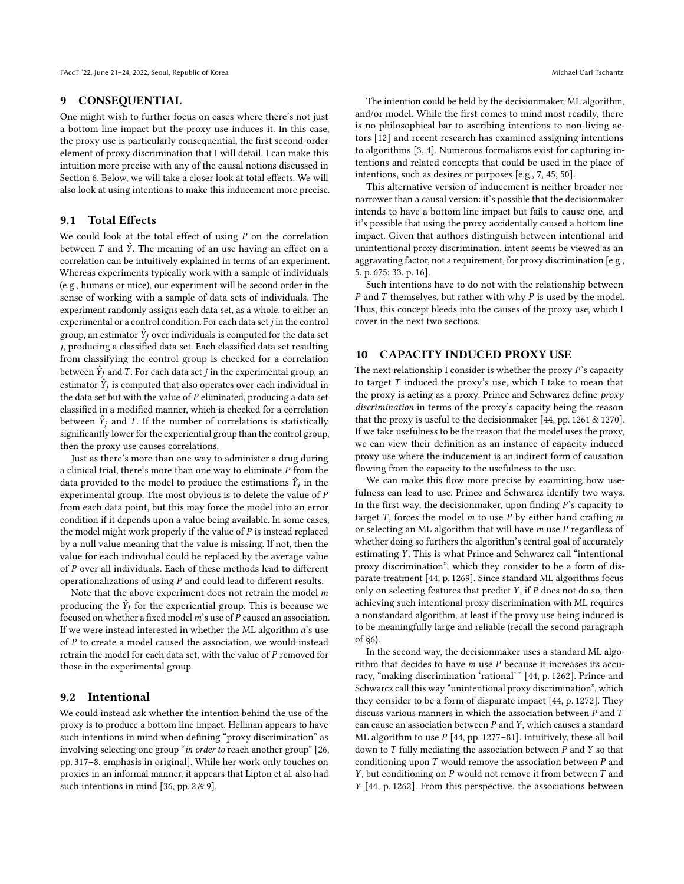#### <span id="page-7-0"></span>9 CONSEQUENTIAL

One might wish to further focus on cases where there's not just a bottom line impact but the proxy use induces it. In this case, the proxy use is particularly consequential, the first second-order element of proxy discrimination that I will detail. I can make this intuition more precise with any of the causal notions discussed in Section [6.](#page-5-0) Below, we will take a closer look at total effects. We will also look at using intentions to make this inducement more precise.

#### 9.1 Total Effects

We could look at the total effect of using  $P$  on the correlation between  $T$  and  $\hat{Y}$ . The meaning of an use having an effect on a correlation can be intuitively explained in terms of an experiment. Whereas experiments typically work with a sample of individuals (e.g., humans or mice), our experiment will be second order in the sense of working with a sample of data sets of individuals. The experiment randomly assigns each data set, as a whole, to either an experimental or a control condition. For each data set  $j$  in the control group, an estimator  $\hat{Y}_j$  over individuals is computed for the data set in producing a classified data set. Each classified data set resulting j, producing a classified data set. Each classified data set resulting from classifying the control group is checked for a correlation between  $\hat{Y}_j$  and  $\hat{T}$ . For each data set j in the experimental group, an estimator  $\hat{Y}_j$  is computed that also appart as each individual in estimator  $\hat{Y}_j$  is computed that also operates over each individual in the data set but with the value of  $P$  eliminated producing a data set the data set but with the value of  $P$  eliminated, producing a data set classified in a modified manner, which is checked for a correlation between  $\hat{Y}_j$  and T. If the number of correlations is statistically<br>significantly lower for the experiential group than the control group significantly lower for the experiential group than the control group, then the proxy use causes correlations.

Just as there's more than one way to administer a drug during a clinical trial, there's more than one way to eliminate P from the data provided to the model to produce the estimations  $\hat{Y}_j$  in the experimental group. The most obvious is to delete the value of  $P$ experimental group. The most obvious is to delete the value of P from each data point, but this may force the model into an error condition if it depends upon a value being available. In some cases, the model might work properly if the value of  $P$  is instead replaced by a null value meaning that the value is missing. If not, then the value for each individual could be replaced by the average value of P over all individuals. Each of these methods lead to different operationalizations of using  $P$  and could lead to different results.

Note that the above experiment does not retrain the model  $m$ producing the  $\hat{Y}_j$  for the experiential group. This is because we focused on whether a fixed model m's use of P caused an association focused on whether a fixed model  $m$ 's use of  $P$  caused an association. If we were instead interested in whether the ML algorithm a's use of P to create a model caused the association, we would instead retrain the model for each data set, with the value of P removed for those in the experimental group.

## 9.2 Intentional

We could instead ask whether the intention behind the use of the proxy is to produce a bottom line impact. Hellman appears to have such intentions in mind when defining "proxy discrimination" as involving selecting one group "in order to reach another group" [\[26,](#page-10-11) pp. 317–8, emphasis in original]. While her work only touches on proxies in an informal manner, it appears that Lipton et al. also had such intentions in mind [\[36,](#page-10-33) pp. 2 & 9].

The intention could be held by the decisionmaker, ML algorithm, and/or model. While the first comes to mind most readily, there is no philosophical bar to ascribing intentions to non-living actors [\[12\]](#page-9-11) and recent research has examined assigning intentions to algorithms [\[3,](#page-9-12) [4\]](#page-9-13). Numerous formalisms exist for capturing intentions and related concepts that could be used in the place of intentions, such as desires or purposes [e.g., [7,](#page-9-14) [45,](#page-10-34) [50\]](#page-10-35).

This alternative version of inducement is neither broader nor narrower than a causal version: it's possible that the decisionmaker intends to have a bottom line impact but fails to cause one, and it's possible that using the proxy accidentally caused a bottom line impact. Given that authors distinguish between intentional and unintentional proxy discrimination, intent seems be viewed as an aggravating factor, not a requirement, for proxy discrimination [e.g., [5,](#page-9-1) p. 675; [33,](#page-10-12) p. 16].

Such intentions have to do not with the relationship between P and T themselves, but rather with why  $P$  is used by the model. Thus, this concept bleeds into the causes of the proxy use, which I cover in the next two sections.

#### <span id="page-7-1"></span>10 CAPACITY INDUCED PROXY USE

The next relationship I consider is whether the proxy  $P$ 's capacity to target T induced the proxy's use, which I take to mean that the proxy is acting as a proxy. Prince and Schwarcz define proxy discrimination in terms of the proxy's capacity being the reason that the proxy is useful to the decisionmaker [\[44,](#page-10-6) pp. 1261 & 1270]. If we take usefulness to be the reason that the model uses the proxy, we can view their definition as an instance of capacity induced proxy use where the inducement is an indirect form of causation flowing from the capacity to the usefulness to the use.

We can make this flow more precise by examining how usefulness can lead to use. Prince and Schwarcz identify two ways. In the first way, the decisionmaker, upon finding P's capacity to target  $T$ , forces the model  $m$  to use  $P$  by either hand crafting  $m$ or selecting an ML algorithm that will have m use P regardless of whether doing so furthers the algorithm's central goal of accurately estimating Y. This is what Prince and Schwarcz call "intentional proxy discrimination", which they consider to be a form of disparate treatment [\[44,](#page-10-6) p. 1269]. Since standard ML algorithms focus only on selecting features that predict  $Y$ , if  $P$  does not do so, then achieving such intentional proxy discrimination with ML requires a nonstandard algorithm, at least if the proxy use being induced is to be meaningfully large and reliable (recall the second paragraph of [§6\)](#page-5-0).

In the second way, the decisionmaker uses a standard ML algorithm that decides to have  $m$  use  $P$  because it increases its accuracy, "making discrimination 'rational' " [\[44,](#page-10-6) p. 1262]. Prince and Schwarcz call this way "unintentional proxy discrimination", which they consider to be a form of disparate impact [\[44,](#page-10-6) p. 1272]. They discuss various manners in which the association between  $P$  and  $T$ can cause an association between  $P$  and  $Y$ , which causes a standard ML algorithm to use P [\[44,](#page-10-6) pp. 1277–81]. Intuitively, these all boil down to  $T$  fully mediating the association between  $P$  and  $Y$  so that conditioning upon  $T$  would remove the association between  $P$  and Y, but conditioning on  $P$  would not remove it from between  $T$  and Y [\[44,](#page-10-6) p. 1262]. From this perspective, the associations between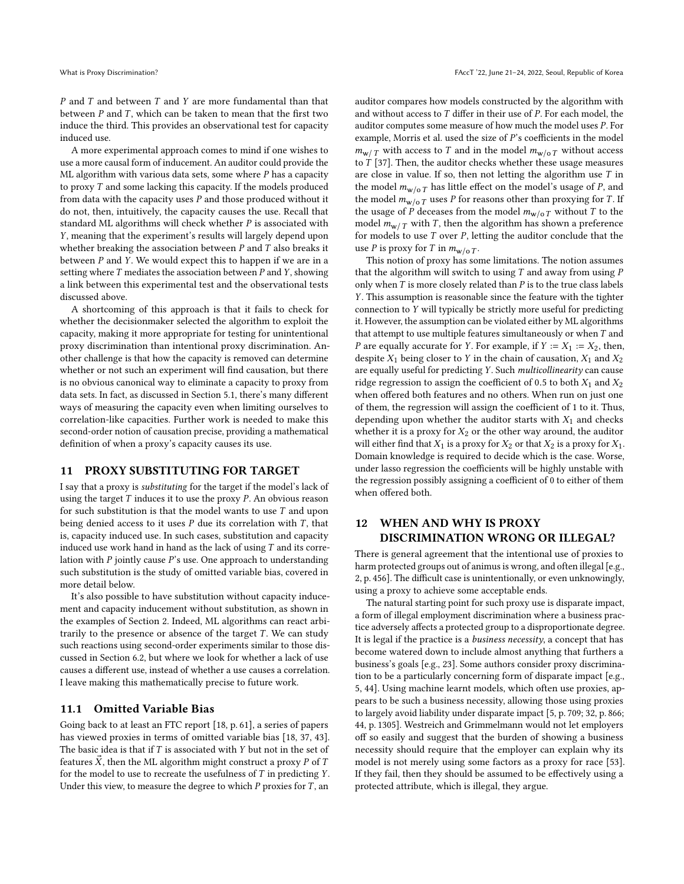P and T and between T and Y are more fundamental than that have paral T which can be taken to mean that the first two between  $P$  and  $T$ , which can be taken to mean that the first two induce the third. This provides an observational test for cancelly induce the third. This provides an observational test for capacity induced use.

A more experimental approach comes to mind if one wishes to use a more causal form of inducement. An auditor could provide the ML algorithm with various data sets, some where  $P$  has a capacity to proxy T and some lacking this capacity. If the models produced from data with the capacity uses  $P$  and those produced without it do not, then, intuitively, the capacity causes the use. Recall that standard ML algorithms will check whether  $P$  is associated with Y, meaning that the experiment's results will largely depend upon whether breaking the association between  $P$  and  $T$  also breaks it between  $P$  and  $Y$ . We would expect this to happen if we are in a setting where  $T$  mediates the association between  $P$  and  $Y$ , showing a link between this experimental test and the observational tests discussed above.

A shortcoming of this approach is that it fails to check for whether the decisionmaker selected the algorithm to exploit the capacity, making it more appropriate for testing for unintentional proxy discrimination than intentional proxy discrimination. Another challenge is that how the capacity is removed can determine whether or not such an experiment will find causation, but there is no obvious canonical way to eliminate a capacity to proxy from data sets. In fact, as discussed in Section [5.1,](#page-3-1) there's many different ways of measuring the capacity even when limiting ourselves to correlation-like capacities. Further work is needed to make this second-order notion of causation precise, providing a mathematical definition of when a proxy's capacity causes its use.

#### <span id="page-8-0"></span>11 PROXY SUBSTITUTING FOR TARGET

I say that a proxy is substituting for the target if the model's lack of using the target  $T$  induces it to use the proxy  $P$ . An obvious reason for such substitution is that the model wants to use  $T$  and upon being denied access to it uses  $P$  due its correlation with  $T$ , that is, capacity induced use. In such cases, substitution and capacity induced use work hand in hand as the lack of using  $T$  and its correlation with  $P$  jointly cause  $P$ 's use. One approach to understanding such substitution is the study of omitted variable bias, covered in more detail below.

It's also possible to have substitution without capacity inducement and capacity inducement without substitution, as shown in the examples of Section [2.](#page-0-0) Indeed, ML algorithms can react arbitrarily to the presence or absence of the target  $T$ . We can study such reactions using second-order experiments similar to those discussed in Section [6.2,](#page-6-3) but where we look for whether a lack of use causes a different use, instead of whether a use causes a correlation. I leave making this mathematically precise to future work.

#### 11.1 Omitted Variable Bias

Going back to at least an FTC report [\[18,](#page-10-36) p. 61], a series of papers has viewed proxies in terms of omitted variable bias [\[18,](#page-10-36) [37,](#page-10-37) [43\]](#page-10-10). The basic idea is that if  $T$  is associated with  $Y$  but not in the set of features  $\vec{X}$ , then the ML algorithm might construct a proxy P of T for the model to use to recreate the usefulness of  $T$  in predicting  $Y$ . Under this view, to measure the degree to which  $P$  proxies for  $T$ , an

auditor compares how models constructed by the algorithm with and without access to  $T$  differ in their use of  $P$ . For each model, the auditor computes some measure of how much the model uses P. For example, Morris et al. used the size of P's coefficients in the model  $m_{w/T}$  with access to T and in the model  $m_{w/oT}$  without access to  $T$  [\[37\]](#page-10-37). Then, the auditor checks whether these usage measures are close in value. If so, then not letting the algorithm use  $T$  in the model  $m_{w/o T}$  has little effect on the model's usage of P, and the model  $m_{w/o T}$  uses P for reasons other than proxying for T. If the usage of P deceases from the model  $m_{w/o T}$  without T to the model  $m_{w/T}$  with T, then the algorithm has shown a preference for models to use  $T$  over  $P$ , letting the auditor conclude that the use *P* is proxy for *T* in  $m_{w/o T}$ .

This notion of proxy has some limitations. The notion assumes that the algorithm will switch to using  $T$  and away from using  $P$ only when  $T$  is more closely related than  $P$  is to the true class labels Y. This assumption is reasonable since the feature with the tighter connection to Y will typically be strictly more useful for predicting it. However, the assumption can be violated either by ML algorithms that attempt to use multiple features simultaneously or when  $T$  and P are equally accurate for Y. For example, if  $Y := X_1 := X_2$ , then, despite  $X_1$  being closer to Y in the chain of causation,  $X_1$  and  $X_2$ are equally useful for predicting Y. Such multicollinearity can cause ridge regression to assign the coefficient of 0.5 to both  $X_1$  and  $X_2$ when offered both features and no others. When run on just one of them, the regression will assign the coefficient of 1 to it. Thus, depending upon whether the auditor starts with  $X_1$  and checks whether it is a proxy for  $X_2$  or the other way around, the auditor will either find that  $X_1$  is a proxy for  $X_2$  or that  $X_2$  is a proxy for  $X_1$ . Domain knowledge is required to decide which is the case. Worse, under lasso regression the coefficients will be highly unstable with the regression possibly assigning a coefficient of 0 to either of them when offered both.

## <span id="page-8-1"></span>12 WHEN AND WHY IS PROXY DISCRIMINATION WRONG OR ILLEGAL?

There is general agreement that the intentional use of proxies to harm protected groups out of animus is wrong, and often illegal [e.g., [2,](#page-9-15) p. 456]. The difficult case is unintentionally, or even unknowingly, using a proxy to achieve some acceptable ends.

The natural starting point for such proxy use is disparate impact, a form of illegal employment discrimination where a business practice adversely affects a protected group to a disproportionate degree. It is legal if the practice is a *business necessity*, a concept that has become watered down to include almost anything that furthers a business's goals [e.g., [23\]](#page-10-38). Some authors consider proxy discrimination to be a particularly concerning form of disparate impact [e.g., [5,](#page-9-1) [44\]](#page-10-6). Using machine learnt models, which often use proxies, appears to be such a business necessity, allowing those using proxies to largely avoid liability under disparate impact [\[5,](#page-9-1) p. 709; [32,](#page-10-7) p. 866; [44,](#page-10-6) p. 1305]. Westreich and Grimmelmann would not let employers off so easily and suggest that the burden of showing a business necessity should require that the employer can explain why its model is not merely using some factors as a proxy for race [\[53\]](#page-10-39). If they fail, then they should be assumed to be effectively using a protected attribute, which is illegal, they argue.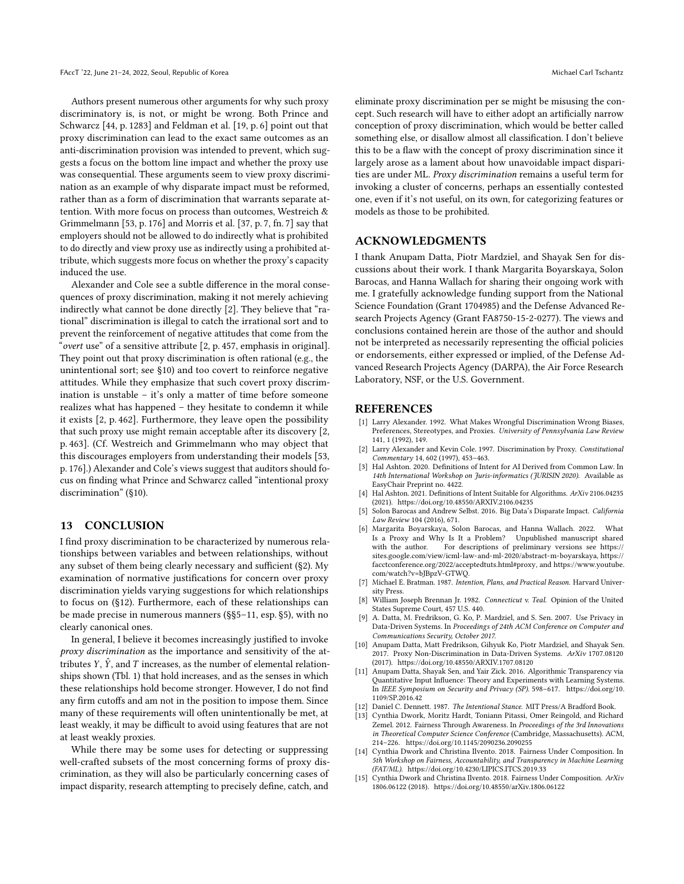Authors present numerous other arguments for why such proxy discriminatory is, is not, or might be wrong. Both Prince and Schwarcz [\[44,](#page-10-6) p. 1283] and Feldman et al. [\[19,](#page-10-8) p. 6] point out that proxy discrimination can lead to the exact same outcomes as an anti-discrimination provision was intended to prevent, which suggests a focus on the bottom line impact and whether the proxy use was consequential. These arguments seem to view proxy discrimination as an example of why disparate impact must be reformed, rather than as a form of discrimination that warrants separate attention. With more focus on process than outcomes, Westreich & Grimmelmann [\[53,](#page-10-39) p. 176] and Morris et al. [\[37,](#page-10-37) p. 7, fn. 7] say that employers should not be allowed to do indirectly what is prohibited to do directly and view proxy use as indirectly using a prohibited attribute, which suggests more focus on whether the proxy's capacity induced the use.

Alexander and Cole see a subtle difference in the moral consequences of proxy discrimination, making it not merely achieving indirectly what cannot be done directly [\[2\]](#page-9-15). They believe that "rational" discrimination is illegal to catch the irrational sort and to prevent the reinforcement of negative attitudes that come from the "overt use" of a sensitive attribute [\[2,](#page-9-15) p. 457, emphasis in original]. They point out that proxy discrimination is often rational (e.g., the unintentional sort; see [§10\)](#page-7-1) and too covert to reinforce negative attitudes. While they emphasize that such covert proxy discrimination is unstable – it's only a matter of time before someone realizes what has happened – they hesitate to condemn it while it exists [\[2,](#page-9-15) p. 462]. Furthermore, they leave open the possibility that such proxy use might remain acceptable after its discovery [\[2,](#page-9-15) p. 463]. (Cf. Westreich and Grimmelmann who may object that this discourages employers from understanding their models [\[53,](#page-10-39) p. 176].) Alexander and Cole's views suggest that auditors should focus on finding what Prince and Schwarcz called "intentional proxy discrimination" ([§10\)](#page-7-1).

#### <span id="page-9-2"></span>13 CONCLUSION

I find proxy discrimination to be characterized by numerous relationships between variables and between relationships, without any subset of them being clearly necessary and sufficient ([§2\)](#page-0-0). My examination of normative justifications for concern over proxy discrimination yields varying suggestions for which relationships to focus on ([§12\)](#page-8-1). Furthermore, each of these relationships can be made precise in numerous manners (§[§5–](#page-3-0)[11,](#page-8-0) esp. [§5\)](#page-3-0), with no clearly canonical ones.

In general, I believe it becomes increasingly justified to invoke proxy discrimination as the importance and sensitivity of the attributes Y,  $\hat{Y}$ , and T increases, as the number of elemental relationships shown (Tbl. [1\)](#page-2-1) that hold increases, and as the senses in which these relationships hold become stronger. However, I do not find any firm cutoffs and am not in the position to impose them. Since many of these requirements will often unintentionally be met, at least weakly, it may be difficult to avoid using features that are not at least weakly proxies.

While there may be some uses for detecting or suppressing well-crafted subsets of the most concerning forms of proxy discrimination, as they will also be particularly concerning cases of impact disparity, research attempting to precisely define, catch, and

eliminate proxy discrimination per se might be misusing the concept. Such research will have to either adopt an artificially narrow conception of proxy discrimination, which would be better called something else, or disallow almost all classification. I don't believe this to be a flaw with the concept of proxy discrimination since it largely arose as a lament about how unavoidable impact disparities are under ML. Proxy discrimination remains a useful term for invoking a cluster of concerns, perhaps an essentially contested one, even if it's not useful, on its own, for categorizing features or models as those to be prohibited.

#### ACKNOWLEDGMENTS

I thank Anupam Datta, Piotr Mardziel, and Shayak Sen for discussions about their work. I thank Margarita Boyarskaya, Solon Barocas, and Hanna Wallach for sharing their ongoing work with me. I gratefully acknowledge funding support from the National Science Foundation (Grant 1704985) and the Defense Advanced Research Projects Agency (Grant FA8750-15-2-0277). The views and conclusions contained herein are those of the author and should not be interpreted as necessarily representing the official policies or endorsements, either expressed or implied, of the Defense Advanced Research Projects Agency (DARPA), the Air Force Research Laboratory, NSF, or the U.S. Government.

#### REFERENCES

- <span id="page-9-7"></span>[1] Larry Alexander. 1992. What Makes Wrongful Discrimination Wrong Biases, Preferences, Stereotypes, and Proxies. University of Pennsylvania Law Review 141, 1 (1992), 149.
- <span id="page-9-15"></span>[2] Larry Alexander and Kevin Cole. 1997. Discrimination by Proxy. Constitutional Commentary 14, 602 (1997), 453–463.
- <span id="page-9-12"></span>[3] Hal Ashton. 2020. Definitions of Intent for AI Derived from Common Law. In 14th International Workshop on Juris-informatics (JURISIN 2020). Available as EasyChair Preprint no. 4422.
- <span id="page-9-13"></span>[4] Hal Ashton. 2021. Definitions of Intent Suitable for Algorithms. ArXiv 2106.04235 (2021).<https://doi.org/10.48550/ARXIV.2106.04235>
- <span id="page-9-1"></span>[5] Solon Barocas and Andrew Selbst. 2016. Big Data's Disparate Impact. California Law Review 104 (2016), 671.
- <span id="page-9-3"></span>[6] Margarita Boyarskaya, Solon Barocas, and Hanna Wallach. 2022. What Is a Proxy and Why Is It a Problem? Unpublished manuscript shared with the author. For descriptions of preliminary versions see [https://](https://sites.google.com/view/icml-law-and-ml-2020/abstract-m-boyarskaya) [sites.google.com/view/icml-law-and-ml-2020/abstract-m-boyarskaya,](https://sites.google.com/view/icml-law-and-ml-2020/abstract-m-boyarskaya) [https://](https://facctconference.org/2022/acceptedtuts.html#proxy) [facctconference.org/2022/acceptedtuts.html#proxy,](https://facctconference.org/2022/acceptedtuts.html#proxy) and [https://www.youtube.](https://www.youtube.com/watch?v=bJBpzV-GTWQ) [com/watch?v=bJBpzV-GTWQ.](https://www.youtube.com/watch?v=bJBpzV-GTWQ)
- <span id="page-9-14"></span>[7] Michael E. Bratman. 1987. Intention, Plans, and Practical Reason. Harvard University Press.
- <span id="page-9-10"></span>[8] William Joseph Brennan Jr. 1982. Connecticut v. Teal. Opinion of the United States Supreme Court, 457 U.S. 440.
- <span id="page-9-8"></span>[9] A. Datta, M. Fredrikson, G. Ko, P. Mardziel, and S. Sen. 2007. Use Privacy in Data-Driven Systems. In Proceedings of 24th ACM Conference on Computer and Communications Security, October 2017.
- <span id="page-9-4"></span>[10] Anupam Datta, Matt Fredrikson, Gihyuk Ko, Piotr Mardziel, and Shayak Sen. 2017. Proxy Non-Discrimination in Data-Driven Systems. ArXiv 1707.08120 (2017).<https://doi.org/10.48550/ARXIV.1707.08120>
- <span id="page-9-9"></span>[11] Anupam Datta, Shayak Sen, and Yair Zick. 2016. Algorithmic Transparency via Quantitative Input Influence: Theory and Experiments with Learning Systems. In IEEE Symposium on Security and Privacy (SP). 598–617. [https://doi.org/10.](https://doi.org/10.1109/SP.2016.42) [1109/SP.2016.42](https://doi.org/10.1109/SP.2016.42)
- <span id="page-9-11"></span>[12] Daniel C. Dennett. 1987. The Intentional Stance. MIT Press/A Bradford Book.
- <span id="page-9-0"></span>[13] Cynthia Dwork, Moritz Hardt, Toniann Pitassi, Omer Reingold, and Richard Zemel. 2012. Fairness Through Awareness. In Proceedings of the 3rd Innovations in Theoretical Computer Science Conference (Cambridge, Massachusetts). ACM, 214–226.<https://doi.org/10.1145/2090236.2090255>
- <span id="page-9-5"></span>[14] Cynthia Dwork and Christina Ilvento. 2018. Fairness Under Composition. In 5th Workshop on Fairness, Accountability, and Transparency in Machine Learning (FAT/ML).<https://doi.org/10.4230/LIPICS.ITCS.2019.33>
- <span id="page-9-6"></span>[15] Cynthia Dwork and Christina Ilvento. 2018. Fairness Under Composition. ArXiv 1806.06122 (2018).<https://doi.org/10.48550/arXiv.1806.06122>